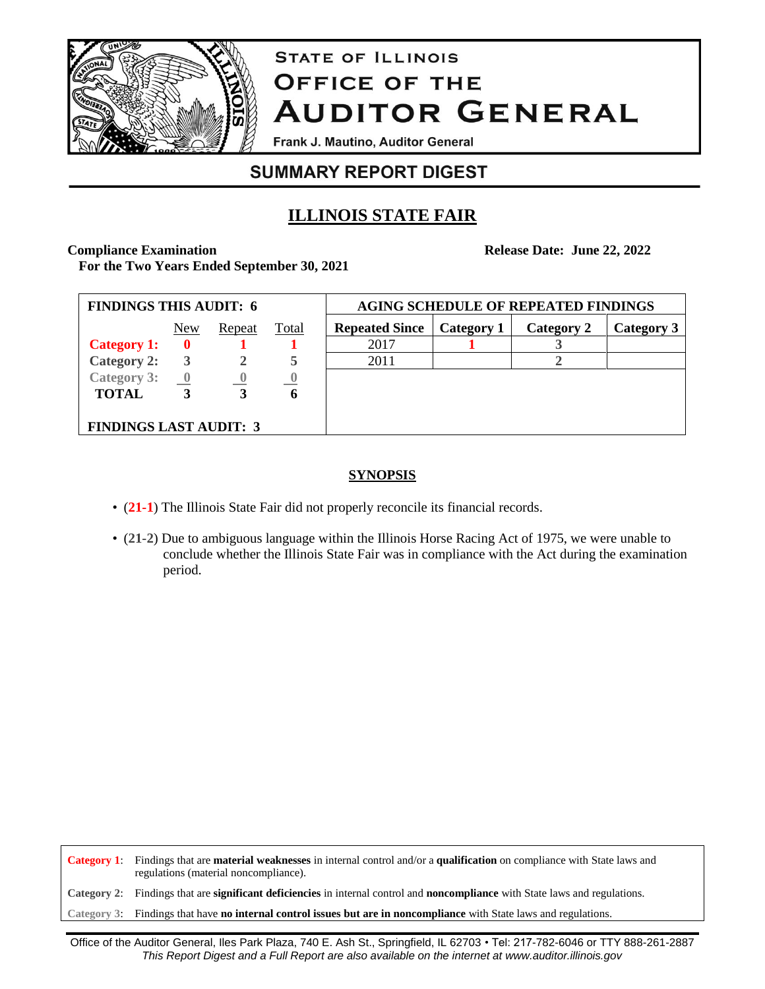

# **STATE OF ILLINOIS OFFICE OF THE AUDITOR GENERAL**

Frank J. Mautino, Auditor General

# **SUMMARY REPORT DIGEST**

# **ILLINOIS STATE FAIR**

### **Compliance Examination**

**Release Date: June 22, 2022**

**For the Two Years Ended September 30, 2021**

| <b>FINDINGS THIS AUDIT: 6</b> |                          |                |              | <b>AGING SCHEDULE OF REPEATED FINDINGS</b> |            |            |            |
|-------------------------------|--------------------------|----------------|--------------|--------------------------------------------|------------|------------|------------|
|                               | New                      | Repeat         | <b>Total</b> | <b>Repeated Since</b>                      | Category 1 | Category 2 | Category 3 |
| <b>Category 1:</b>            | 0                        |                |              | 2017                                       |            |            |            |
| <b>Category 2:</b>            |                          |                | 5            | 2011                                       |            |            |            |
| Category 3:                   | $\overline{\phantom{a}}$ | $\overline{0}$ |              |                                            |            |            |            |
| <b>TOTAL</b>                  | 3                        | 3              | 6            |                                            |            |            |            |
|                               |                          |                |              |                                            |            |            |            |
| <b>FINDINGS LAST AUDIT: 3</b> |                          |                |              |                                            |            |            |            |

## **SYNOPSIS**

- (**21-1**) The Illinois State Fair did not properly reconcile its financial records.
- (**21-2**) Due to ambiguous language within the Illinois Horse Racing Act of 1975, we were unable to conclude whether the Illinois State Fair was in compliance with the Act during the examination period.

**Category 1**: Findings that are **material weaknesses** in internal control and/or a **qualification** on compliance with State laws and regulations (material noncompliance).

**Category 2**: Findings that are **significant deficiencies** in internal control and **noncompliance** with State laws and regulations.

**Category 3**: Findings that have **no internal control issues but are in noncompliance** with State laws and regulations.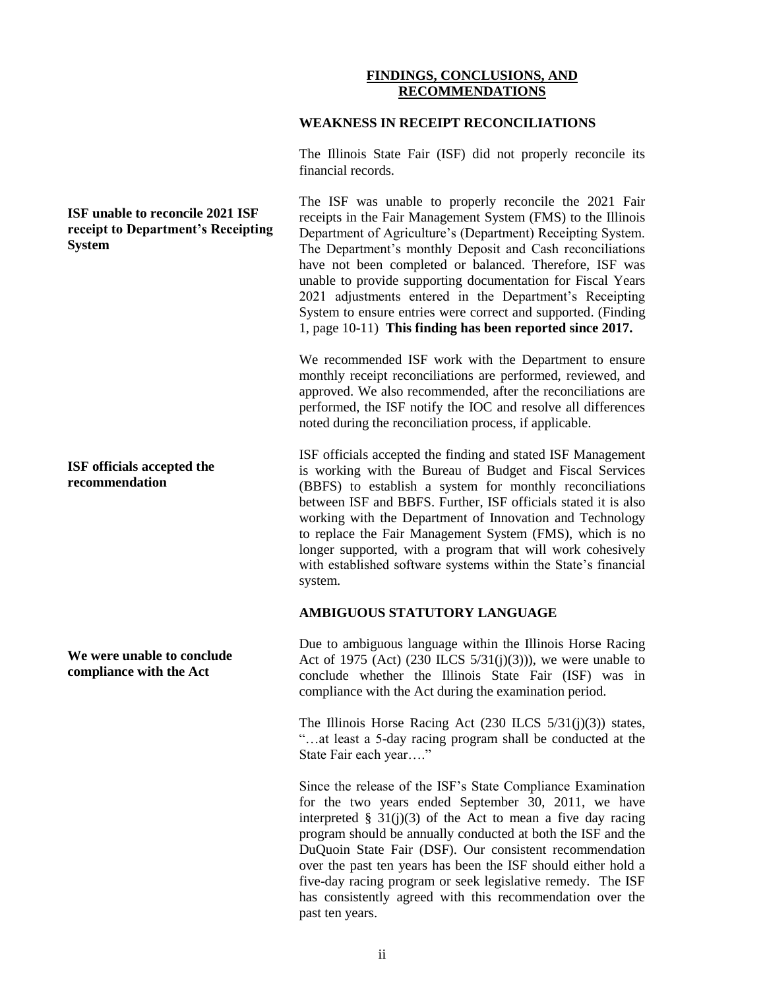#### **FINDINGS, CONCLUSIONS, AND RECOMMENDATIONS**

#### **WEAKNESS IN RECEIPT RECONCILIATIONS**

The Illinois State Fair (ISF) did not properly reconcile its financial records.

The ISF was unable to properly reconcile the 2021 Fair receipts in the Fair Management System (FMS) to the Illinois Department of Agriculture's (Department) Receipting System. The Department's monthly Deposit and Cash reconciliations have not been completed or balanced. Therefore, ISF was unable to provide supporting documentation for Fiscal Years 2021 adjustments entered in the Department's Receipting System to ensure entries were correct and supported. (Finding 1, page 10-11) **This finding has been reported since 2017.**

We recommended ISF work with the Department to ensure monthly receipt reconciliations are performed, reviewed, and approved. We also recommended, after the reconciliations are performed, the ISF notify the IOC and resolve all differences noted during the reconciliation process, if applicable.

ISF officials accepted the finding and stated ISF Management is working with the Bureau of Budget and Fiscal Services (BBFS) to establish a system for monthly reconciliations between ISF and BBFS. Further, ISF officials stated it is also working with the Department of Innovation and Technology to replace the Fair Management System (FMS), which is no longer supported, with a program that will work cohesively with established software systems within the State's financial system.

#### **AMBIGUOUS STATUTORY LANGUAGE**

Due to ambiguous language within the Illinois Horse Racing Act of 1975 (Act) (230 ILCS  $5/31(i)(3)$ ), we were unable to conclude whether the Illinois State Fair (ISF) was in compliance with the Act during the examination period.

The Illinois Horse Racing Act (230 ILCS 5/31(j)(3)) states, "…at least a 5-day racing program shall be conducted at the State Fair each year…."

Since the release of the ISF's State Compliance Examination for the two years ended September 30, 2011, we have interpreted  $\S$  31(j)(3) of the Act to mean a five day racing program should be annually conducted at both the ISF and the DuQuoin State Fair (DSF). Our consistent recommendation over the past ten years has been the ISF should either hold a five-day racing program or seek legislative remedy. The ISF has consistently agreed with this recommendation over the past ten years.

#### **ISF unable to reconcile 2021 ISF receipt to Department's Receipting System**

**ISF officials accepted the recommendation**

**We were unable to conclude compliance with the Act**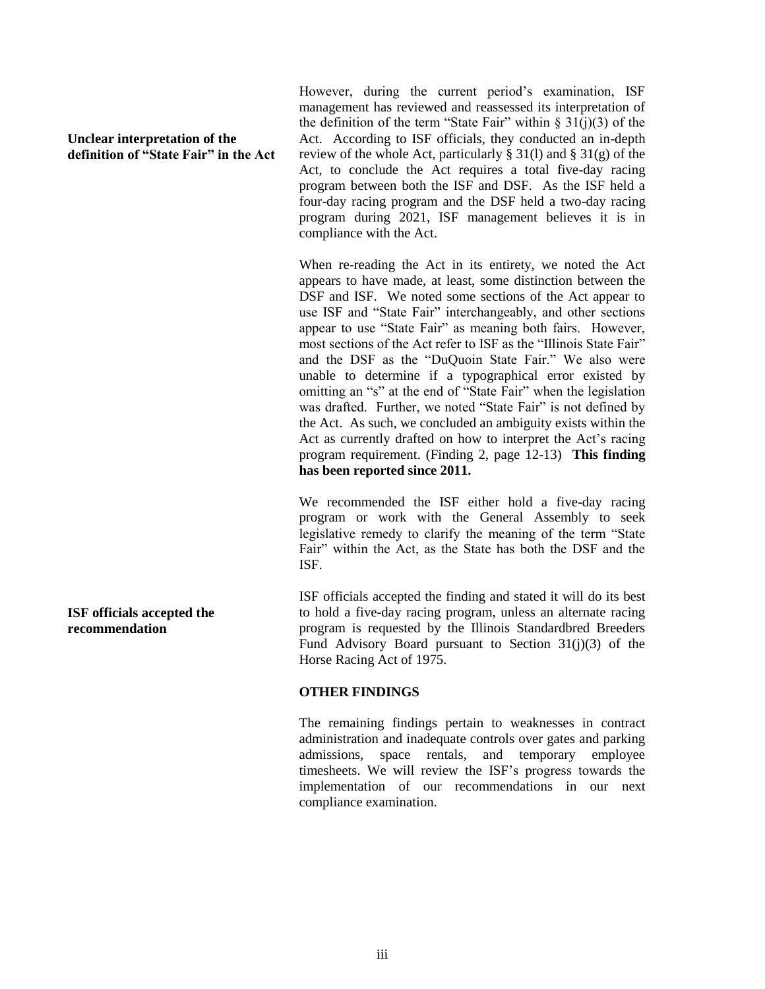#### **Unclear interpretation of the definition of "State Fair" in the Act**

However, during the current period's examination, ISF management has reviewed and reassessed its interpretation of the definition of the term "State Fair" within  $\S 31(j)(3)$  of the Act. According to ISF officials, they conducted an in-depth review of the whole Act, particularly  $\S 31(1)$  and  $\S 31(g)$  of the Act, to conclude the Act requires a total five-day racing program between both the ISF and DSF. As the ISF held a four-day racing program and the DSF held a two-day racing program during 2021, ISF management believes it is in compliance with the Act.

When re-reading the Act in its entirety, we noted the Act appears to have made, at least, some distinction between the DSF and ISF. We noted some sections of the Act appear to use ISF and "State Fair" interchangeably, and other sections appear to use "State Fair" as meaning both fairs. However, most sections of the Act refer to ISF as the "Illinois State Fair" and the DSF as the "DuQuoin State Fair." We also were unable to determine if a typographical error existed by omitting an "s" at the end of "State Fair" when the legislation was drafted. Further, we noted "State Fair" is not defined by the Act. As such, we concluded an ambiguity exists within the Act as currently drafted on how to interpret the Act's racing program requirement. (Finding 2, page 12-13) **This finding has been reported since 2011.**

We recommended the ISF either hold a five-day racing program or work with the General Assembly to seek legislative remedy to clarify the meaning of the term "State Fair" within the Act, as the State has both the DSF and the ISF.

ISF officials accepted the finding and stated it will do its best to hold a five-day racing program, unless an alternate racing program is requested by the Illinois Standardbred Breeders Fund Advisory Board pursuant to Section 31(j)(3) of the Horse Racing Act of 1975.

#### **OTHER FINDINGS**

The remaining findings pertain to weaknesses in contract administration and inadequate controls over gates and parking admissions, space rentals, and temporary employee timesheets. We will review the ISF's progress towards the implementation of our recommendations in our next compliance examination.

**ISF officials accepted the recommendation**